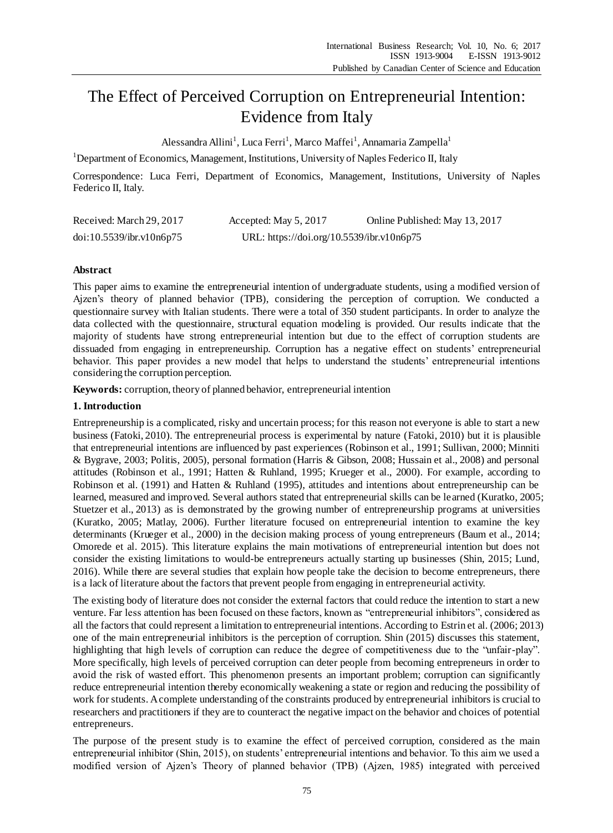# The Effect of Perceived Corruption on Entrepreneurial Intention: Evidence from Italy

Alessandra Allini<sup>1</sup>, Luca Ferri<sup>1</sup>, Marco Maffei<sup>1</sup>, Annamaria Zampella<sup>1</sup>

<sup>1</sup>Department of Economics, Management, Institutions, University of Naples Federico II, Italy

Correspondence: Luca Ferri, Department of Economics, Management, Institutions, University of Naples Federico II, Italy.

| Received: March 29, 2017 | Accepted: May 5, 2017                     | Online Published: May 13, 2017 |
|--------------------------|-------------------------------------------|--------------------------------|
| doi:10.5539/ibr.v10n6p75 | URL: https://doi.org/10.5539/ibr.v10n6p75 |                                |

## **Abstract**

This paper aims to examine the entrepreneurial intention of undergraduate students, using a modified version of Ajzen's theory of planned behavior (TPB), considering the perception of corruption. We conducted a questionnaire survey with Italian students. There were a total of 350 student participants. In order to analyze the data collected with the questionnaire, structural equation modeling is provided. Our results indicate that the majority of students have strong entrepreneurial intention but due to the effect of corruption students are dissuaded from engaging in entrepreneurship. Corruption has a negative effect on students' entrepreneurial behavior. This paper provides a new model that helps to understand the students' entrepreneurial intentions considering the corruption perception.

**Keywords:** corruption, theory of planned behavior, entrepreneurial intention

## **1. Introduction**

Entrepreneurship is a complicated, risky and uncertain process; for this reason not everyone is able to start a new business (Fatoki, 2010). The entrepreneurial process is experimental by nature (Fatoki, 2010) but it is plausible that entrepreneurial intentions are influenced by past experiences (Robinson et al., 1991; Sullivan, 2000; Minniti & Bygrave, 2003; Politis, 2005), personal formation (Harris & Gibson, 2008; Hussain et al., 2008) and personal attitudes (Robinson et al., 1991; Hatten & Ruhland, 1995; Krueger et al., 2000). For example, according to Robinson et al. (1991) and Hatten & Ruhland (1995), attitudes and intentions about entrepreneurship can be learned, measured and improved. Several authors stated that entrepreneurial skills can be learned (Kuratko, 2005; Stuetzer et al., 2013) as is demonstrated by the growing number of entrepreneurship programs at universities (Kuratko, 2005; Matlay, 2006). Further literature focused on entrepreneurial intention to examine the key determinants (Krueger et al., 2000) in the decision making process of young entrepreneurs (Baum et al., 2014; Omorede et al. 2015). This literature explains the main motivations of entrepreneurial intention but does not consider the existing limitations to would-be entrepreneurs actually starting up businesses (Shin, 2015; Lund, 2016). While there are several studies that explain how people take the decision to become entrepreneurs, there is a lack of literature about the factors that prevent people from engaging in entrepreneurial activity.

The existing body of literature does not consider the external factors that could reduce the intention to start a new venture. Far less attention has been focused on these factors, known as "entrepreneurial inhibitors", considered as all the factors that could represent a limitation to entrepreneurial intentions. According to Estrin et al. (2006; 2013) one of the main entrepreneurial inhibitors is the perception of corruption. Shin (2015) discusses this statement, highlighting that high levels of corruption can reduce the degree of competitiveness due to the "unfair-play". More specifically, high levels of perceived corruption can deter people from becoming entrepreneurs in order to avoid the risk of wasted effort. This phenomenon presents an important problem; corruption can significantly reduce entrepreneurial intention thereby economically weakening a state or region and reducing the possibility of work for students. Acomplete understanding of the constraints produced by entrepreneurial inhibitors is crucial to researchers and practitioners if they are to counteract the negative impact on the behavior and choices of potential entrepreneurs.

The purpose of the present study is to examine the effect of perceived corruption, considered as the main entrepreneurial inhibitor (Shin, 2015), on students' entrepreneurial intentions and behavior. To this aim we used a modified version of Ajzen's Theory of planned behavior (TPB) (Ajzen, 1985) integrated with perceived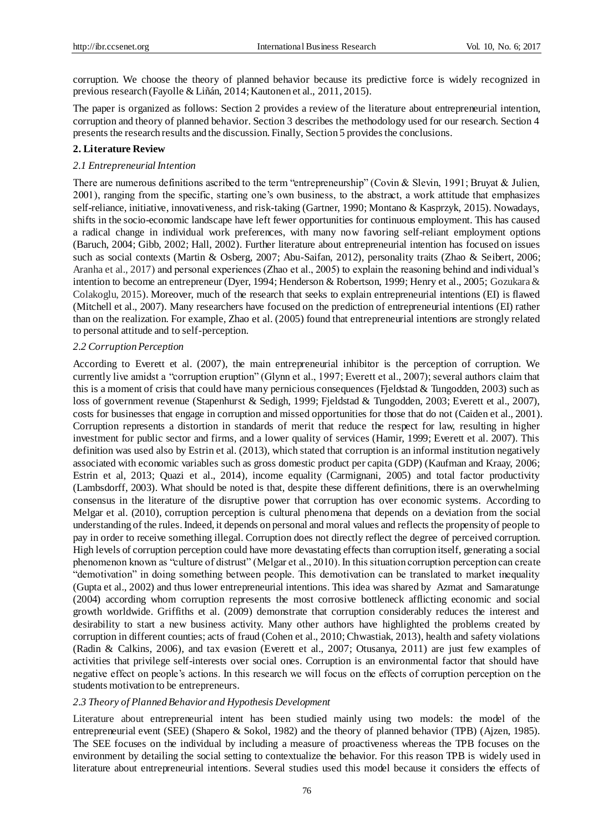corruption. We choose the theory of planned behavior because its predictive force is widely recognized in previous research (Fayolle & Liñán, 2014; Kautonen et al., 2011, 2015).

The paper is organized as follows: Section 2 provides a review of the literature about entrepreneurial intention, corruption and theory of planned behavior. Section 3 describes the methodology used for our research. Section 4 presents the research results and the discussion. Finally, Section 5 provides the conclusions.

## **2. Literature Review**

#### *2.1 Entrepreneurial Intention*

There are numerous definitions ascribed to the term "entrepreneurship" (Covin & Slevin, 1991; Bruyat & Julien, 2001), ranging from the specific, starting one's own business, to the abstract, a work attitude that emphasizes self-reliance, initiative, innovativeness, and risk-taking (Gartner, 1990; Montano & Kasprzyk, 2015). Nowadays, shifts in the socio-economic landscape have left fewer opportunities for continuous employment. This has caused a radical change in individual work preferences, with many now favoring self-reliant employment options (Baruch, 2004; Gibb, 2002; Hall, 2002). Further literature about entrepreneurial intention has focused on issues such as social contexts (Martin & Osberg, 2007; Abu-Saifan, 2012), personality traits (Zhao & Seibert, 2006; Aranha et al., 2017) and personal experiences (Zhao et al., 2005) to explain the reasoning behind and individual's intention to become an entrepreneur (Dyer, 1994; Henderson & Robertson, 1999; Henry et al., 2005; Gozukara & Colakoglu, 2015). Moreover, much of the research that seeks to explain entrepreneurial intentions (EI) is flawed (Mitchell et al., 2007). Many researchers have focused on the prediction of entrepreneurial intentions (EI) rather than on the realization. For example, Zhao et al. (2005) found that entrepreneurial intentions are strongly related to personal attitude and to self-perception.

## *2.2 Corruption Perception*

According to Everett et al. (2007), the main entrepreneurial inhibitor is the perception of corruption. We currently live amidst a "corruption eruption" (Glynn et al., 1997; Everett et al., 2007); several authors claim that this is a moment of crisis that could have many pernicious consequences (Fjeldstad & Tungodden, 2003) such as loss of government revenue (Stapenhurst & Sedigh, 1999; Fjeldstad & Tungodden, 2003; Everett et al., 2007), costs for businesses that engage in corruption and missed opportunities for those that do not (Caiden et al., 2001). Corruption represents a distortion in standards of merit that reduce the respect for law, resulting in higher investment for public sector and firms, and a lower quality of services (Hamir, 1999; Everett et al. 2007). This definition was used also by Estrin et al. (2013), which stated that corruption is an informal institution negatively associated with economic variables such as gross domestic product per capita (GDP) (Kaufman and Kraay, 2006; Estrin et al, 2013; Quazi et al., 2014), income equality (Carmignani, 2005) and total factor productivity (Lambsdorff, 2003). What should be noted is that, despite these different definitions, there is an overwhelming consensus in the literature of the disruptive power that corruption has over economic systems. According to Melgar et al. (2010), corruption perception is cultural phenomena that depends on a deviation from the social understanding of the rules. Indeed, it depends on personal and moral values and reflects the propensity of people to pay in order to receive something illegal. Corruption does not directly reflect the degree of perceived corruption. High levels of corruption perception could have more devastating effects than corruption itself, generating a social phenomenon known as "culture of distrust" (Melgar et al., 2010). In this situation corruption perception can create "demotivation" in doing something between people. This demotivation can be translated to market inequality (Gupta et al., 2002) and thus lower entrepreneurial intentions. This idea was shared by Azmat and Samaratunge (2004) according whom corruption represents the most corrosive bottleneck afflicting economic and social growth worldwide. Griffiths et al. (2009) demonstrate that corruption considerably reduces the interest and desirability to start a new business activity. Many other authors have highlighted the problems created by corruption in different counties; acts of fraud (Cohen et al., 2010; Chwastiak, 2013), health and safety violations (Radin & Calkins, 2006), and tax evasion (Everett et al., 2007; Otusanya, 2011) are just few examples of activities that privilege self-interests over social ones. Corruption is an environmental factor that should have negative effect on people's actions. In this research we will focus on the effects of corruption perception on the students motivation to be entrepreneurs.

## *2.3 Theory of Planned Behavior and Hypothesis Development*

Literature about entrepreneurial intent has been studied mainly using two models: the model of the entrepreneurial event (SEE) (Shapero & Sokol, 1982) and the theory of planned behavior (TPB) (Ajzen, 1985). The SEE focuses on the individual by including a measure of proactiveness whereas the TPB focuses on the environment by detailing the social setting to contextualize the behavior. For this reason TPB is widely used in literature about entrepreneurial intentions. Several studies used this model because it considers the effects of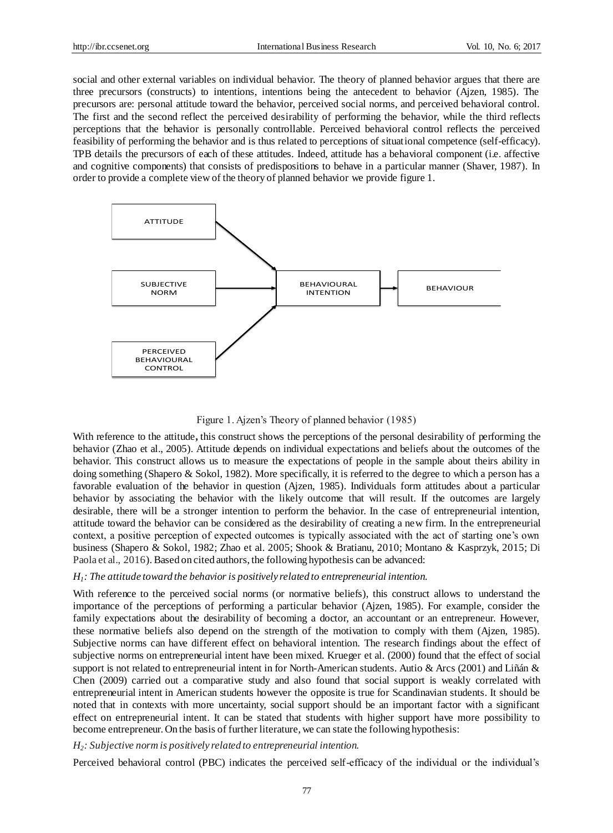social and other external variables on individual behavior. The theory of planned behavior argues that there are three precursors (constructs) to intentions, intentions being the antecedent to behavior (Ajzen, 1985). The precursors are: personal attitude toward the behavior, perceived social norms, and perceived behavioral control. The first and the second reflect the perceived desirability of performing the behavior, while the third reflects perceptions that the behavior is personally controllable. Perceived behavioral control reflects the perceived feasibility of performing the behavior and is thus related to perceptions of situational competence (self-efficacy). TPB details the precursors of each of these attitudes. Indeed, attitude has a behavioral component (i.e. affective and cognitive components) that consists of predispositions to behave in a particular manner (Shaver, 1987). In order to provide a complete view of the theory of planned behavior we provide figure 1.



Figure 1. Ajzen's Theory of planned behavior (1985)

With reference to the attitude, this construct shows the perceptions of the personal desirability of performing the behavior (Zhao et al., 2005). Attitude depends on individual expectations and beliefs about the outcomes of the behavior. This construct allows us to measure the expectations of people in the sample about theirs ability in doing something (Shapero & Sokol, 1982). More specifically, it is referred to the degree to which a person has a favorable evaluation of the behavior in question (Ajzen, 1985). Individuals form attitudes about a particular behavior by associating the behavior with the likely outcome that will result. If the outcomes are largely desirable, there will be a stronger intention to perform the behavior. In the case of entrepreneurial intention, attitude toward the behavior can be considered as the desirability of creating a new firm. In the entrepreneurial context, a positive perception of expected outcomes is typically associated with the act of starting one's own business (Shapero & Sokol, 1982; Zhao et al. 2005; Shook & Bratianu, 2010; Montano & Kasprzyk, 2015; Di Paola et al., 2016). Based on cited authors, the following hypothesis can be advanced:

## *H1 : The attitude toward the behavior is positively related to entrepreneurial intention.*

With reference to the perceived social norms (or normative beliefs), this construct allows to understand the importance of the perceptions of performing a particular behavior (Ajzen, 1985). For example, consider the family expectations about the desirability of becoming a doctor, an accountant or an entrepreneur. However, these normative beliefs also depend on the strength of the motivation to comply with them (Ajzen, 1985). Subjective norms can have different effect on behavioral intention. The research findings about the effect of subjective norms on entrepreneurial intent have been mixed. Krueger et al. (2000) found that the effect of social support is not related to entrepreneurial intent in for North-American students. Autio & Arcs (2001) and Liñán & Chen (2009) carried out a comparative study and also found that social support is weakly correlated with entrepreneurial intent in American students however the opposite is true for Scandinavian students. It should be noted that in contexts with more uncertainty, social support should be an important factor with a significant effect on entrepreneurial intent. It can be stated that students with higher support have more possibility to become entrepreneur. On the basis of further literature, we can state the following hypothesis:

## *H2 : Subjective norm is positively related to entrepreneurial intention.*

Perceived behavioral control (PBC) indicates the perceived self-efficacy of the individual or the individual's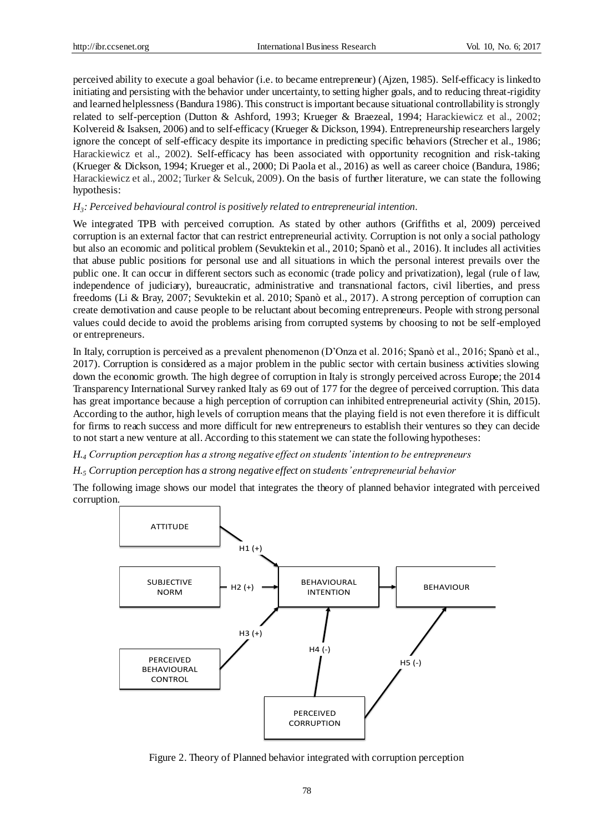perceived ability to execute a goal behavior (i.e. to became entrepreneur) (Ajzen, 1985). Self-efficacy is linked to initiating and persisting with the behavior under uncertainty, to setting higher goals, and to reducing threat-rigidity and learned helplessness (Bandura 1986). This construct is important because situational controllability is strongly related to self-perception (Dutton & Ashford, 1993; Krueger & Braezeal, 1994; Harackiewicz et al., 2002; Kolvereid & Isaksen, 2006) and to self-efficacy (Krueger & Dickson, 1994). Entrepreneurship researchers largely ignore the concept of self-efficacy despite its importance in predicting specific behaviors (Strecher et al., 1986; Harackiewicz et al., 2002). Self-efficacy has been associated with opportunity recognition and risk-taking (Krueger & Dickson, 1994; Krueger et al., 2000; Di Paola et al., 2016) as well as career choice (Bandura, 1986; Harackiewicz et al., 2002; Turker & Selcuk, 2009). On the basis of further literature, we can state the following hypothesis:

# *H3 : Perceived behavioural control is positively related to entrepreneurial intention.*

We integrated TPB with perceived corruption. As stated by other authors (Griffiths et al, 2009) perceived corruption is an external factor that can restrict entrepreneurial activity. Corruption is not only a social pathology but also an economic and political problem (Sevuktekin et al., 2010; Spanò et al., 2016). It includes all activities that abuse public positions for personal use and all situations in which the personal interest prevails over the public one. It can occur in different sectors such as economic (trade policy and privatization), legal (rule of law, independence of judiciary), bureaucratic, administrative and transnational factors, civil liberties, and press freedoms (Li & Bray, 2007; Sevuktekin et al. 2010; Spanò et al., 2017). A strong perception of corruption can create demotivation and cause people to be reluctant about becoming entrepreneurs. People with strong personal values could decide to avoid the problems arising from corrupted systems by choosing to not be self-employed or entrepreneurs.

In Italy, corruption is perceived as a prevalent phenomenon (D'Onza et al. 2016; Spanò et al., 2016; Spanò et al., 2017). Corruption is considered as a major problem in the public sector with certain business activities slowing down the economic growth. The high degree of corruption in Italy is strongly perceived across Europe; the 2014 Transparency International Survey ranked Italy as 69 out of 177 for the degree of perceived corruption. This data has great importance because a high perception of corruption can inhibited entrepreneurial activity (Shin, 2015). According to the author, high levels of corruption means that the playing field is not even therefore it is difficult for firms to reach success and more difficult for new entrepreneurs to establish their ventures so they can decide to not start a new venture at all. According to this statement we can state the following hypotheses:

*H.<sup>4</sup> Corruption perception has a strong negative effect on students' intention to be entrepreneurs* 

## *H.<sup>5</sup> Corruption perception has a strong negative effect on students' entrepreneurial behavior*

The following image shows our model that integrates the theory of planned behavior integrated with perceived corruption.



Figure 2. Theory of Planned behavior integrated with corruption perception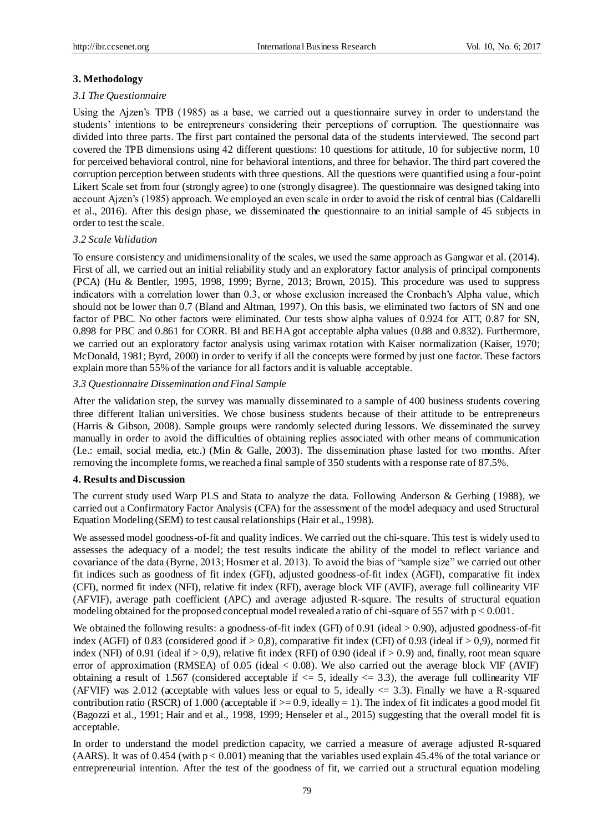## **3. Methodology**

#### *3.1 The Questionnaire*

Using the Ajzen's TPB (1985) as a base, we carried out a questionnaire survey in order to understand the students' intentions to be entrepreneurs considering their perceptions of corruption. The questionnaire was divided into three parts. The first part contained the personal data of the students interviewed. The second part covered the TPB dimensions using 42 different questions: 10 questions for attitude, 10 for subjective norm, 10 for perceived behavioral control, nine for behavioral intentions, and three for behavior. The third part covered the corruption perception between students with three questions. All the questions were quantified using a four-point Likert Scale set from four (strongly agree) to one (strongly disagree). The questionnaire was designed taking into account Ajzen's (1985) approach. We employed an even scale in order to avoid the risk of central bias (Caldarelli et al., 2016). After this design phase, we disseminated the questionnaire to an initial sample of 45 subjects in order to test the scale.

## *3.2 Scale Validation*

To ensure consistency and unidimensionality of the scales, we used the same approach as Gangwar et al. (2014). First of all, we carried out an initial reliability study and an exploratory factor analysis of principal components (PCA) (Hu & Bentler, 1995, 1998, 1999; Byrne, 2013; Brown, 2015). This procedure was used to suppress indicators with a correlation lower than 0.3, or whose exclusion increased the Cronbach's Alpha value, which should not be lower than 0.7 (Bland and Altman, 1997). On this basis, we eliminated two factors of SN and one factor of PBC. No other factors were eliminated. Our tests show alpha values of 0.924 for ATT, 0.87 for SN, 0.898 for PBC and 0.861 for CORR. BI and BEHA got acceptable alpha values (0.88 and 0.832). Furthermore, we carried out an exploratory factor analysis using varimax rotation with Kaiser normalization (Kaiser, 1970; McDonald, 1981; Byrd, 2000) in order to verify if all the concepts were formed by just one factor. These factors explain more than 55% of the variance for all factors and it is valuable acceptable.

## *3.3 Questionnaire Dissemination and Final Sample*

After the validation step, the survey was manually disseminated to a sample of 400 business students covering three different Italian universities. We chose business students because of their attitude to be entrepreneurs (Harris & Gibson, 2008). Sample groups were randomly selected during lessons. We disseminated the survey manually in order to avoid the difficulties of obtaining replies associated with other means of communication (I.e.: email, social media, etc.) (Min & Galle, 2003). The dissemination phase lasted for two months. After removing the incomplete forms, we reached a final sample of 350 students with a response rate of 87.5%.

#### **4. Results and Discussion**

The current study used Warp PLS and Stata to analyze the data. Following Anderson & Gerbing (1988), we carried out a Confirmatory Factor Analysis (CFA) for the assessment of the model adequacy and used Structural Equation Modeling (SEM) to test causal relationships (Hair et al., 1998).

We assessed model goodness-of-fit and quality indices. We carried out the chi-square. This test is widely used to assesses the adequacy of a model; the test results indicate the ability of the model to reflect variance and covariance of the data (Byrne, 2013; Hosmer et al. 2013). To avoid the bias of "sample size" we carried out other fit indices such as goodness of fit index (GFI), adjusted goodness-of-fit index (AGFI), comparative fit index (CFI), normed fit index (NFI), relative fit index (RFI), average block VIF (AVIF), average full collinearity VIF (AFVIF), average path coefficient (APC) and average adjusted R-square. The results of structural equation modeling obtained for the proposed conceptual model revealed a ratio of chi-square of 557 with  $p < 0.001$ .

We obtained the following results: a goodness-of-fit index (GFI) of 0.91 (ideal > 0.90), adjusted goodness-of-fit index (AGFI) of 0.83 (considered good if  $> 0.8$ ), comparative fit index (CFI) of 0.93 (ideal if  $> 0.9$ ), normed fit index (NFI) of 0.91 (ideal if  $> 0.9$ ), relative fit index (RFI) of 0.90 (ideal if  $> 0.9$ ) and, finally, root mean square error of approximation (RMSEA) of  $0.05$  (ideal  $< 0.08$ ). We also carried out the average block VIF (AVIF) obtaining a result of 1.567 (considered acceptable if  $\leq$  5, ideally  $\leq$  3.3), the average full collinearity VIF (AFVIF) was 2.012 (acceptable with values less or equal to 5, ideally  $\leq$  3.3). Finally we have a R-squared contribution ratio (RSCR) of 1.000 (acceptable if  $>= 0.9$ , ideally = 1). The index of fit indicates a good model fit (Bagozzi et al., 1991; Hair and et al., 1998, 1999; Henseler et al., 2015) suggesting that the overall model fit is acceptable.

In order to understand the model prediction capacity, we carried a measure of average adjusted R-squared (AARS). It was of 0.454 (with  $p < 0.001$ ) meaning that the variables used explain 45.4% of the total variance or entrepreneurial intention. After the test of the goodness of fit, we carried out a structural equation modeling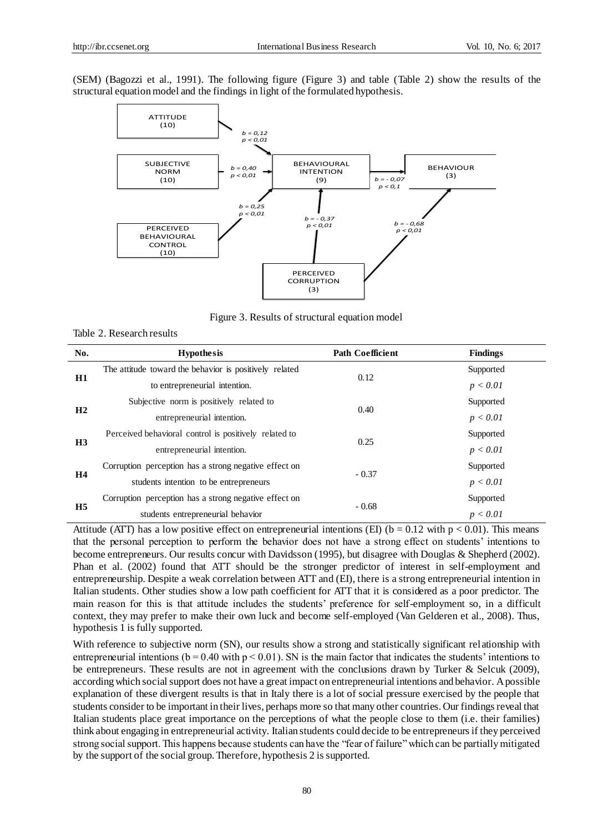(SEM) (Bagozzi et al., 1991). The following figure (Figure 3) and table (Table 2) show the results of the structural equation model and the findings in light of the formulated hypothesis.



Figure 3. Results of structural equation model

| No.            | <b>Hypothesis</b>                                      | <b>Path Coefficient</b> | <b>Findings</b> |
|----------------|--------------------------------------------------------|-------------------------|-----------------|
| H1             | The attitude toward the behavior is positively related | 0.12                    | Supported       |
|                | to entrepreneurial intention.                          |                         | p < 0.01        |
| H <sub>2</sub> | Subjective norm is positively related to               | 0.40                    | Supported       |
|                | entrepreneurial intention.                             |                         | p < 0.01        |
| H <sub>3</sub> | Perceived behavioral control is positively related to  | 0.25                    | Supported       |
|                | entrepreneurial intention.                             |                         | p < 0.01        |
| <b>H4</b>      | Corruption perception has a strong negative effect on  | $-0.37$                 | Supported       |
|                | students intention to be entrepreneurs                 |                         | p < 0.01        |
| H <sub>5</sub> | Corruption perception has a strong negative effect on  | $-0.68$                 | Supported       |
|                | students entrepreneurial behavior                      |                         | p < 0.01        |

Attitude (ATT) has a low positive effect on entrepreneurial intentions (EI) ( $b = 0.12$  with  $p < 0.01$ ). This means that the personal perception to perform the behavior does not have a strong effect on students' intentions to become entrepreneurs. Our results concur with Davidsson (1995), but disagree with Douglas & Shepherd (2002). Phan et al. (2002) found that ATT should be the stronger predictor of interest in self-employment and entrepreneurship. Despite a weak correlation between ATT and (EI), there is a strong entrepreneurial intention in Italian students. Other studies show a low path coefficient for ATT that it is considered as a poor predictor. The main reason for this is that attitude includes the students' preference for self-employment so, in a difficult context, they may prefer to make their own luck and become self-employed (Van Gelderen et al., 2008). Thus, hypothesis 1 is fully supported.

With reference to subjective norm (SN), our results show a strong and statistically significant relationship with entrepreneurial intentions ( $b = 0.40$  with  $p < 0.01$ ). SN is the main factor that indicates the students' intentions to be entrepreneurs. These results are not in agreement with the conclusions drawn by Turker & Selcuk (2009), according which social support does not have a great impact on entrepreneurial intentions and behavior. A possible explanation of these divergent results is that in Italy there is a lot of social pressure exercised by the people that students consider to be important in their lives, perhaps more so that many other countries. Our findings reveal that Italian students place great importance on the perceptions of what the people close to them (i.e. their families) think about engaging in entrepreneurial activity. Italian students could decide to be entrepreneurs if they perceived strong social support. This happens because students can have the "fear of failure" which can be partially mitigated by the support of the social group. Therefore, hypothesis 2 is supported.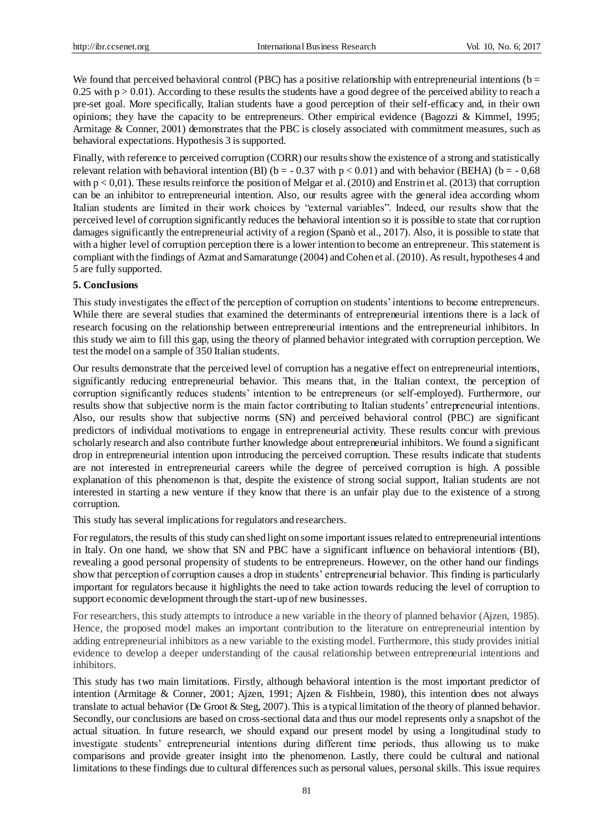We found that perceived behavioral control (PBC) has a positive relationship with entrepreneurial intentions ( $b =$ 0.25 with  $p > 0.01$ ). According to these results the students have a good degree of the perceived ability to reach a pre-set goal. More specifically, Italian students have a good perception of their self-efficacy and, in their own opinions; they have the capacity to be entrepreneurs. Other empirical evidence (Bagozzi & Kimmel, 1995; Armitage & Conner, 2001) demonstrates that the PBC is closely associated with commitment measures, such as behavioral expectations. Hypothesis 3 is supported.

Finally, with reference to perceived corruption (CORR) our results show the existence of a strong and statistically relevant relation with behavioral intention (BI) ( $b = -0.37$  with  $p < 0.01$ ) and with behavior (BEHA) ( $b = -0.68$ ) with  $p < 0.01$ ). These results reinforce the position of Melgar et al. (2010) and Enstrin et al. (2013) that corruption can be an inhibitor to entrepreneurial intention. Also, our results agree with the general idea according whom Italian students are limited in their work choices by "external variables". Indeed, our results show that the perceived level of corruption significantly reduces the behavioral intention so it is possible to state that corruption damages significantly the entrepreneurial activity of a region (Spanò et al., 2017). Also, it is possible to state that with a higher level of corruption perception there is a lower intention to become an entrepreneur. This statement is compliant with the findings of Azmat and Samaratunge (2004) and Cohen et al. (2010). As result, hypotheses 4 and 5 are fully supported.

## **5. Conclusions**

This study investigates the effect of the perception of corruption on students' intentions to become entrepreneurs. While there are several studies that examined the determinants of entrepreneurial intentions there is a lack of research focusing on the relationship between entrepreneurial intentions and the entrepreneurial inhibitors. In this study we aim to fill this gap, using the theory of planned behavior integrated with corruption perception. We test the model on a sample of 350 Italian students.

Our results demonstrate that the perceived level of corruption has a negative effect on entrepreneurial intentions, significantly reducing entrepreneurial behavior. This means that, in the Italian context, the perception of corruption significantly reduces students' intention to be entrepreneurs (or self-employed). Furthermore, our results show that subjective norm is the main factor contributing to Italian students' entrepreneurial intentions. Also, our results show that subjective norms (SN) and perceived behavioral control (PBC) are significant predictors of individual motivations to engage in entrepreneurial activity. These results concur with previous scholarly research and also contribute further knowledge about entrepreneurial inhibitors. We found a significant drop in entrepreneurial intention upon introducing the perceived corruption. These results indicate that students are not interested in entrepreneurial careers while the degree of perceived corruption is high. A possible explanation of this phenomenon is that, despite the existence of strong social support, Italian students are not interested in starting a new venture if they know that there is an unfair play due to the existence of a strong corruption.

This study has several implications for regulators and researchers.

For regulators, the results of this study can shed light on some important issues related to entrepreneurial intentions in Italy. On one hand, we show that SN and PBC have a significant influence on behavioral intentions (BI), revealing a good personal propensity of students to be entrepreneurs. However, on the other hand our findings show that perception of corruption causes a drop in students' entrepreneurial behavior. This finding is particularly important for regulators because it highlights the need to take action towards reducing the level of corruption to support economic development through the start-up of new businesses.

For researchers, this study attempts to introduce a new variable in the theory of planned behavior (Ajzen, 1985). Hence, the proposed model makes an important contribution to the literature on entrepreneurial intention by adding entrepreneurial inhibitors as a new variable to the existing model. Furthermore, this study provides initial evidence to develop a deeper understanding of the causal relationship between entrepreneurial intentions and inhibitors.

This study has two main limitations. Firstly, although behavioral intention is the most important predictor of intention (Armitage & Conner, 2001; Ajzen, 1991; Ajzen & Fishbein, 1980), this intention does not always translate to actual behavior (De Groot & Steg, 2007). This is a typical limitation of the theory of planned behavior. Secondly, our conclusions are based on cross-sectional data and thus our model represents only a snapshot of the actual situation. In future research, we should expand our present model by using a longitudinal study to investigate students' entrepreneurial intentions during different time periods, thus allowing us to make comparisons and provide greater insight into the phenomenon. Lastly, there could be cultural and national limitations to these findings due to cultural differences such as personal values, personal skills. This issue requires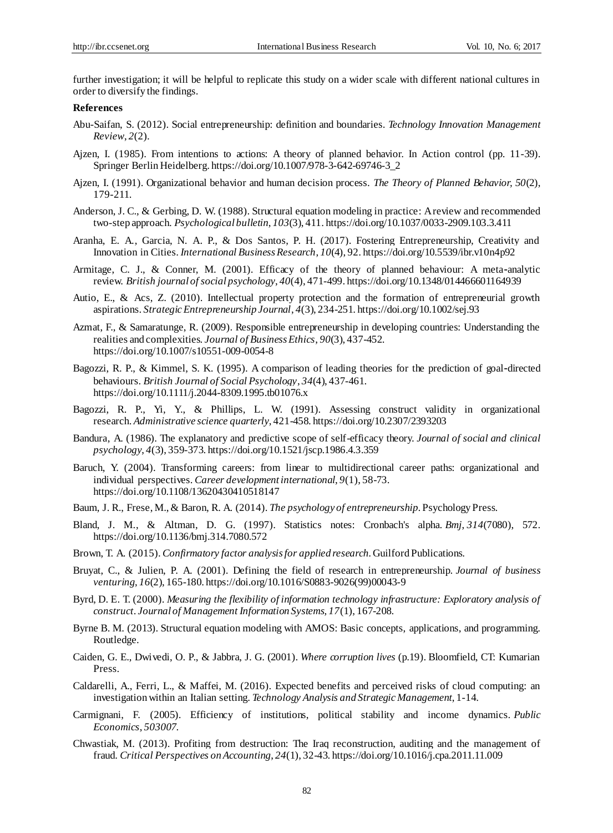further investigation; it will be helpful to replicate this study on a wider scale with different national cultures in order to diversify the findings.

## **References**

- Abu-Saifan, S. (2012). Social entrepreneurship: definition and boundaries. *Technology Innovation Management Review*, *2*(2).
- Ajzen, I. (1985). From intentions to actions: A theory of planned behavior. In Action control (pp. 11-39). Springer Berlin Heidelberg. https://doi.org/10.1007/978-3-642-69746-3\_2
- Ajzen, I. (1991). Organizational behavior and human decision process. *The Theory of Planned Behavior, 50*(2), 179-211.
- Anderson, J. C., & Gerbing, D. W. (1988). Structural equation modeling in practice: A review and recommended two-step approach. *Psychological bulletin*, *103*(3), 411. https://doi.org/10.1037/0033-2909.103.3.411
- Aranha, E. A., Garcia, N. A. P., & Dos Santos, P. H. (2017). Fostering Entrepreneurship, Creativity and Innovation in Cities. *International Business Research*, *10*(4), 92. https://doi.org/10.5539/ibr.v10n4p92
- Armitage, C. J., & Conner, M. (2001). Efficacy of the theory of planned behaviour: A meta‐analytic review. *British journal of social psychology*, *40*(4), 471-499. https://doi.org/10.1348/014466601164939
- Autio, E., & Acs, Z. (2010). Intellectual property protection and the formation of entrepreneurial growth aspirations. *Strategic Entrepreneurship Journal*, *4*(3), 234-251. https://doi.org/10.1002/sej.93
- Azmat, F., & Samaratunge, R. (2009). Responsible entrepreneurship in developing countries: Understanding the realities and complexities. *Journal of Business Ethics*, *90*(3), 437-452. https://doi.org/10.1007/s10551-009-0054-8
- Bagozzi, R. P., & Kimmel, S. K. (1995). A comparison of leading theories for the prediction of goal‐directed behaviours. *British Journal of Social Psychology*, *34*(4), 437-461. https://doi.org/10.1111/j.2044-8309.1995.tb01076.x
- Bagozzi, R. P., Yi, Y., & Phillips, L. W. (1991). Assessing construct validity in organizational research. *Administrative science quarterly*, 421-458. https://doi.org/10.2307/2393203
- Bandura, A. (1986). The explanatory and predictive scope of self-efficacy theory. *Journal of social and clinical psychology*, *4*(3), 359-373. https://doi.org/10.1521/jscp.1986.4.3.359
- Baruch, Y. (2004). Transforming careers: from linear to multidirectional career paths: organizational and individual perspectives. *Career development international*, *9*(1), 58-73. https://doi.org/10.1108/13620430410518147
- Baum, J. R., Frese, M., & Baron, R. A. (2014). *The psychology of entrepreneurship*. Psychology Press.
- Bland, J. M., & Altman, D. G. (1997). Statistics notes: Cronbach's alpha. *Bmj*, *314*(7080), 572. https://doi.org/10.1136/bmj.314.7080.572
- Brown, T. A. (2015). *Confirmatory factor analysis for applied research*. Guilford Publications.
- Bruyat, C., & Julien, P. A. (2001). Defining the field of research in entrepreneurship. *Journal of business venturing*, *16*(2), 165-180. https://doi.org/10.1016/S0883-9026(99)00043-9
- Byrd, D. E. T. (2000). *Measuring the flexibility of information technology infrastructure: Exploratory analysis of construct*. *Journal of Management Information Systems, 17*(1), 167-208.
- Byrne B. M. (2013). Structural equation modeling with AMOS: Basic concepts, applications, and programming. Routledge.
- Caiden, G. E., Dwivedi, O. P., & Jabbra, J. G. (2001). *Where corruption lives* (p.19). Bloomfield, CT: Kumarian Press.
- Caldarelli, A., Ferri, L., & Maffei, M. (2016). Expected benefits and perceived risks of cloud computing: an investigation within an Italian setting. *Technology Analysis and Strategic Management*, 1-14.
- Carmignani, F. (2005). Efficiency of institutions, political stability and income dynamics. *Public Economics*, *503007*.
- Chwastiak, M. (2013). Profiting from destruction: The Iraq reconstruction, auditing and the management of fraud. *Critical Perspectives on Accounting*, *24*(1), 32-43. https://doi.org/10.1016/j.cpa.2011.11.009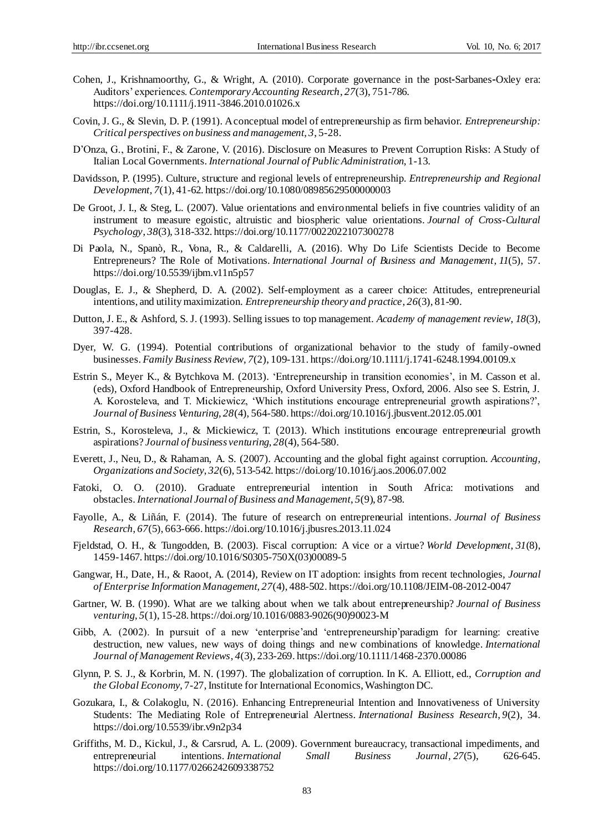- Cohen, J., Krishnamoorthy, G., & Wright, A. (2010). Corporate governance in the post‐Sarbanes‐Oxley era: Auditors' experiences. *Contemporary Accounting Research*, *27*(3), 751-786. https://doi.org/10.1111/j.1911-3846.2010.01026.x
- Covin, J. G., & Slevin, D. P. (1991). A conceptual model of entrepreneurship as firm behavior. *Entrepreneurship: Critical perspectives on business and management*, *3*, 5-28.
- D'Onza, G., Brotini, F., & Zarone, V. (2016). Disclosure on Measures to Prevent Corruption Risks: A Study of Italian Local Governments. *International Journal of Public Administration*, 1-13.
- Davidsson, P. (1995). Culture, structure and regional levels of entrepreneurship. *Entrepreneurship and Regional Development*, *7*(1), 41-62. https://doi.org/10.1080/08985629500000003
- De Groot, J. I., & Steg, L. (2007). Value orientations and environmental beliefs in five countries validity of an instrument to measure egoistic, altruistic and biospheric value orientations. *Journal of Cross-Cultural Psychology*, *38*(3), 318-332. https://doi.org/10.1177/0022022107300278
- Di Paola, N., Spanò, R., Vona, R., & Caldarelli, A. (2016). Why Do Life Scientists Decide to Become Entrepreneurs? The Role of Motivations. *International Journal of Business and Management*, *11*(5), 57. https://doi.org/10.5539/ijbm.v11n5p57
- Douglas, E. J., & Shepherd, D. A. (2002). Self-employment as a career choice: Attitudes, entrepreneurial intentions, and utility maximization. *Entrepreneurship theory and practice*, *26*(3), 81-90.
- Dutton, J. E., & Ashford, S. J. (1993). Selling issues to top management. *Academy of management review*, *18*(3), 397-428.
- Dyer, W. G. (1994). Potential contributions of organizational behavior to the study of family-owned businesses. *Family Business Review*, *7*(2), 109-131. https://doi.org/10.1111/j.1741-6248.1994.00109.x
- Estrin S., Meyer K., & Bytchkova M. (2013). 'Entrepreneurship in transition economies', in M. Casson et al. (eds), Oxford Handbook of Entrepreneurship, Oxford University Press, Oxford, 2006. Also see S. Estrin, J. A. Korosteleva, and T. Mickiewicz, 'Which institutions encourage entrepreneurial growth aspirations?', *Journal of Business Venturing, 28*(4), 564-580. https://doi.org/10.1016/j.jbusvent.2012.05.001
- Estrin, S., Korosteleva, J., & Mickiewicz, T. (2013). Which institutions encourage entrepreneurial growth aspirations? *Journal of business venturing*, *28*(4), 564-580.
- Everett, J., Neu, D., & Rahaman, A. S. (2007). Accounting and the global fight against corruption. *Accounting, Organizations and Society*, *32*(6), 513-542. https://doi.org/10.1016/j.aos.2006.07.002
- Fatoki, O. O. (2010). Graduate entrepreneurial intention in South Africa: motivations and obstacles. *International Journal of Business and Management*, *5*(9), 87-98.
- Fayolle, A., & Liñán, F. (2014). The future of research on entrepreneurial intentions. *Journal of Business Research*, *67*(5), 663-666. https://doi.org/10.1016/j.jbusres.2013.11.024
- Fjeldstad, O. H., & Tungodden, B. (2003). Fiscal corruption: A vice or a virtue? *World Development*, *31*(8), 1459-1467. https://doi.org/10.1016/S0305-750X(03)00089-5
- Gangwar, H., Date, H., & Raoot, A. (2014), Review on IT adoption: insights from recent technologies, *Journal of Enterprise Information Management, 27*(4), 488-502. https://doi.org/10.1108/JEIM-08-2012-0047
- Gartner, W. B. (1990). What are we talking about when we talk about entrepreneurship? *Journal of Business venturing*, *5*(1), 15-28. https://doi.org/10.1016/0883-9026(90)90023-M
- Gibb, A. (2002). In pursuit of a new 'enterprise'and 'entrepreneurship'paradigm for learning: creative destruction, new values, new ways of doing things and new combinations of knowledge. *International Journal of Management Reviews*, *4*(3), 233-269. https://doi.org/10.1111/1468-2370.00086
- Glynn, P. S. J., & Korbrin, M. N. (1997). The globalization of corruption. In K. A. Elliott, ed., *Corruption and the Global Economy*, 7-27, Institute for International Economics, Washington DC.
- Gozukara, I., & Colakoglu, N. (2016). Enhancing Entrepreneurial Intention and Innovativeness of University Students: The Mediating Role of Entrepreneurial Alertness. *International Business Research*, *9*(2), 34. https://doi.org/10.5539/ibr.v9n2p34
- Griffiths, M. D., Kickul, J., & Carsrud, A. L. (2009). Government bureaucracy, transactional impediments, and entrepreneurial intentions. *International Small Business Journal*, *27*(5), 626-645. https://doi.org/10.1177/0266242609338752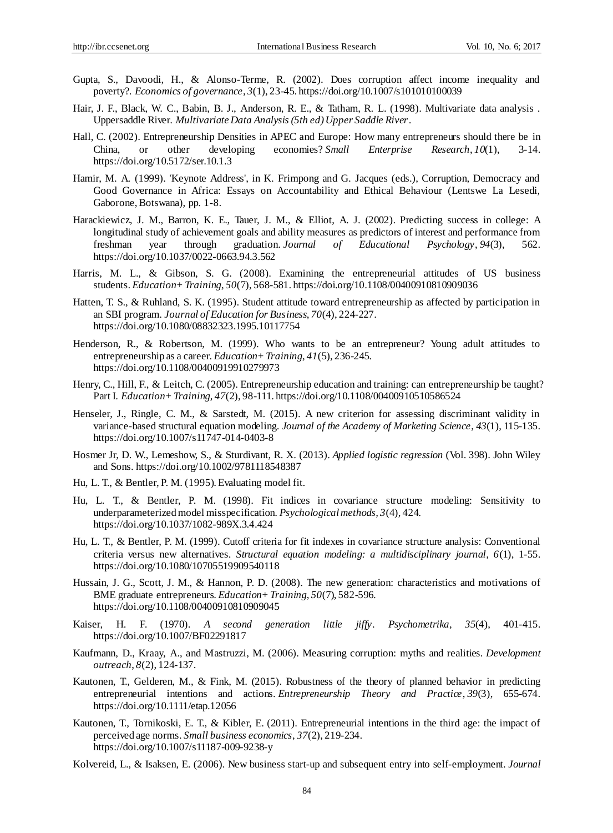- Gupta, S., Davoodi, H., & Alonso-Terme, R. (2002). Does corruption affect income inequality and poverty?. *Economics of governance*, *3*(1), 23-45. https://doi.org/10.1007/s101010100039
- Hair, J. F., Black, W. C., Babin, B. J., Anderson, R. E., & Tatham, R. L. (1998). Multivariate data analysis . Uppersaddle River. *Multivariate Data Analysis (5th ed) Upper Saddle River*.
- Hall, C. (2002). Entrepreneurship Densities in APEC and Europe: How many entrepreneurs should there be in China, or other developing economies? *Small Enterprise Research*, *10*(1), 3-14. https://doi.org/10.5172/ser.10.1.3
- Hamir, M. A. (1999). 'Keynote Address', in K. Frimpong and G. Jacques (eds.), Corruption, Democracy and Good Governance in Africa: Essays on Accountability and Ethical Behaviour (Lentswe La Lesedi, Gaborone, Botswana), pp. 1-8.
- Harackiewicz, J. M., Barron, K. E., Tauer, J. M., & Elliot, A. J. (2002). Predicting success in college: A longitudinal study of achievement goals and ability measures as predictors of interest and performance from freshman year through graduation. *Journal of Educational Psychology*, *94*(3), 562. https://doi.org/10.1037/0022-0663.94.3.562
- Harris, M. L., & Gibson, S. G. (2008). Examining the entrepreneurial attitudes of US business students. *Education+ Training*, *50*(7), 568-581. https://doi.org/10.1108/00400910810909036
- Hatten, T. S., & Ruhland, S. K. (1995). Student attitude toward entrepreneurship as affected by participation in an SBI program. *Journal of Education for Business*, *70*(4), 224-227. https://doi.org/10.1080/08832323.1995.10117754
- Henderson, R., & Robertson, M. (1999). Who wants to be an entrepreneur? Young adult attitudes to entrepreneurship as a career. *Education+ Training*, *41*(5), 236-245. https://doi.org/10.1108/00400919910279973
- Henry, C., Hill, F., & Leitch, C. (2005). Entrepreneurship education and training: can entrepreneurship be taught? Part I. *Education+ Training*, *47*(2), 98-111. https://doi.org/10.1108/00400910510586524
- Henseler, J., Ringle, C. M., & Sarstedt, M. (2015). A new criterion for assessing discriminant validity in variance-based structural equation modeling. *Journal of the Academy of Marketing Science*, *43*(1), 115-135. https://doi.org/10.1007/s11747-014-0403-8
- Hosmer Jr, D. W., Lemeshow, S., & Sturdivant, R. X. (2013). *Applied logistic regression* (Vol. 398). John Wiley and Sons. https://doi.org/10.1002/9781118548387
- Hu, L. T., & Bentler, P. M. (1995). Evaluating model fit.
- Hu, L. T., & Bentler, P. M. (1998). Fit indices in covariance structure modeling: Sensitivity to underparameterized model misspecification. *Psychological methods, 3*(4), 424. https://doi.org/10.1037/1082-989X.3.4.424
- Hu, L. T., & Bentler, P. M. (1999). Cutoff criteria for fit indexes in covariance structure analysis: Conventional criteria versus new alternatives. *Structural equation modeling: a multidisciplinary journal, 6*(1), 1-55. https://doi.org/10.1080/10705519909540118
- Hussain, J. G., Scott, J. M., & Hannon, P. D. (2008). The new generation: characteristics and motivations of BME graduate entrepreneurs. *Education+ Training*, *50*(7), 582-596. https://doi.org/10.1108/00400910810909045
- Kaiser, H. F. (1970). *A second generation little jiffy*. *Psychometrika, 35*(4), 401-415. https://doi.org/10.1007/BF02291817
- Kaufmann, D., Kraay, A., and Mastruzzi, M. (2006). Measuring corruption: myths and realities. *Development outreach*, *8*(2), 124-137.
- Kautonen, T., Gelderen, M., & Fink, M. (2015). Robustness of the theory of planned behavior in predicting entrepreneurial intentions and actions. *Entrepreneurship Theory and Practice*, *39*(3), 655-674. https://doi.org/10.1111/etap.12056
- Kautonen, T., Tornikoski, E. T., & Kibler, E. (2011). Entrepreneurial intentions in the third age: the impact of perceived age norms. *Small business economics*, *37*(2), 219-234. https://doi.org/10.1007/s11187-009-9238-y
- Kolvereid, L., & Isaksen, E. (2006). New business start-up and subsequent entry into self-employment. *Journal*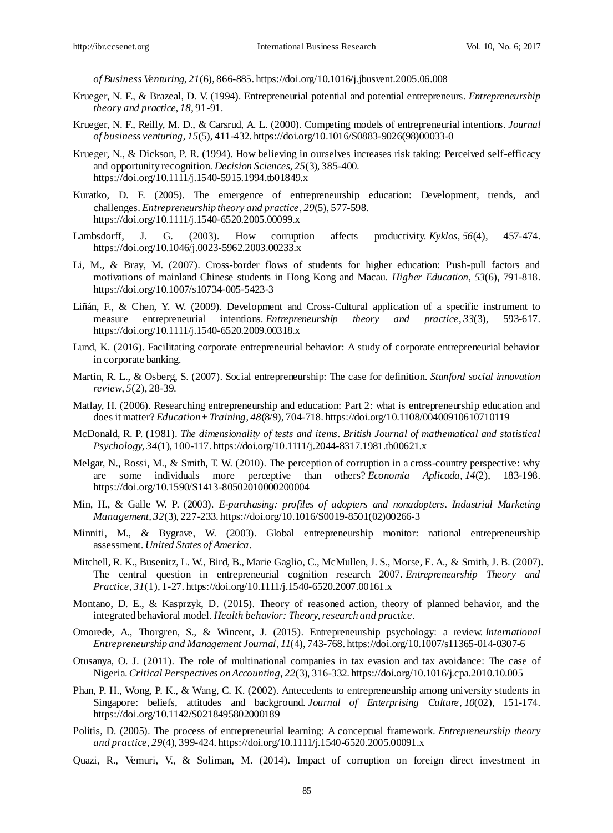*of Business Venturing*, *21*(6), 866-885. https://doi.org/10.1016/j.jbusvent.2005.06.008

- Krueger, N. F., & Brazeal, D. V. (1994). Entrepreneurial potential and potential entrepreneurs. *Entrepreneurship theory and practice*, *18*, 91-91.
- Krueger, N. F., Reilly, M. D., & Carsrud, A. L. (2000). Competing models of entrepreneurial intentions. *Journal of business venturing*, *15*(5), 411-432. https://doi.org/10.1016/S0883-9026(98)00033-0
- Krueger, N., & Dickson, P. R. (1994). How believing in ourselves increases risk taking: Perceived self‐efficacy and opportunity recognition. *Decision Sciences*, *25*(3), 385-400. https://doi.org/10.1111/j.1540-5915.1994.tb01849.x
- Kuratko, D. F. (2005). The emergence of entrepreneurship education: Development, trends, and challenges. *Entrepreneurship theory and practice*, *29*(5), 577-598. https://doi.org/10.1111/j.1540-6520.2005.00099.x
- Lambsdorff, J. G. (2003). How corruption affects productivity. *Kyklos*, *56*(4), 457-474. https://doi.org/10.1046/j.0023-5962.2003.00233.x
- Li, M., & Bray, M. (2007). Cross-border flows of students for higher education: Push-pull factors and motivations of mainland Chinese students in Hong Kong and Macau. *Higher Education, 53*(6), 791-818. https://doi.org/10.1007/s10734-005-5423-3
- Liñán, F., & Chen, Y. W. (2009). Development and Cross‐Cultural application of a specific instrument to measure entrepreneurial intentions. *Entrepreneurship theory and practice*, *33*(3), 593-617. https://doi.org/10.1111/j.1540-6520.2009.00318.x
- Lund, K. (2016). Facilitating corporate entrepreneurial behavior: A study of corporate entrepreneurial behavior in corporate banking.
- Martin, R. L., & Osberg, S. (2007). Social entrepreneurship: The case for definition. *Stanford social innovation review*, *5*(2), 28-39.
- Matlay, H. (2006). Researching entrepreneurship and education: Part 2: what is entrepreneurship education and does it matter? *Education+ Training*, *48*(8/9), 704-718. https://doi.org/10.1108/00400910610710119
- McDonald, R. P. (1981). *The dimensionality of tests and items*. *British Journal of mathematical and statistical Psychology, 34*(1), 100-117. https://doi.org/10.1111/j.2044-8317.1981.tb00621.x
- Melgar, N., Rossi, M., & Smith, T. W. (2010). The perception of corruption in a cross-country perspective: why are some individuals more perceptive than others? *Economia Aplicada*, *14*(2), 183-198. https://doi.org/10.1590/S1413-80502010000200004
- Min, H., & Galle W. P. (2003). *E-purchasing: profiles of adopters and nonadopters*. *Industrial Marketing Management, 32*(3), 227-233. https://doi.org/10.1016/S0019-8501(02)00266-3
- Minniti, M., & Bygrave, W. (2003). Global entrepreneurship monitor: national entrepreneurship assessment. *United States of America*.
- Mitchell, R. K., Busenitz, L. W., Bird, B., Marie Gaglio, C., McMullen, J. S., Morse, E. A., & Smith, J. B. (2007). The central question in entrepreneurial cognition research 2007. *Entrepreneurship Theory and Practice*, *31*(1), 1-27. https://doi.org/10.1111/j.1540-6520.2007.00161.x
- Montano, D. E., & Kasprzyk, D. (2015). Theory of reasoned action, theory of planned behavior, and the integrated behavioral model. *Health behavior: Theory, research and practice*.
- Omorede, A., Thorgren, S., & Wincent, J. (2015). Entrepreneurship psychology: a review. *International Entrepreneurship and Management Journal*, *11*(4), 743-768. https://doi.org/10.1007/s11365-014-0307-6
- Otusanya, O. J. (2011). The role of multinational companies in tax evasion and tax avoidance: The case of Nigeria.*Critical Perspectives on Accounting*, *22*(3), 316-332. https://doi.org/10.1016/j.cpa.2010.10.005
- Phan, P. H., Wong, P. K., & Wang, C. K. (2002). Antecedents to entrepreneurship among university students in Singapore: beliefs, attitudes and background. *Journal of Enterprising Culture*, *10*(02), 151-174. https://doi.org/10.1142/S0218495802000189
- Politis, D. (2005). The process of entrepreneurial learning: A conceptual framework. *Entrepreneurship theory and practice*, *29*(4), 399-424. https://doi.org/10.1111/j.1540-6520.2005.00091.x
- Quazi, R., Vemuri, V., & Soliman, M. (2014). Impact of corruption on foreign direct investment in